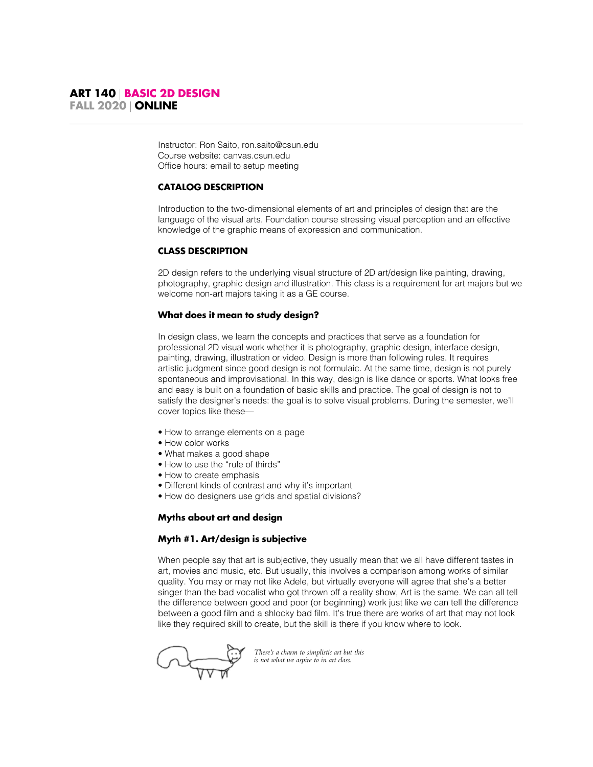Instructor: Ron Saito, ron.saito@csun.edu Course website: canvas.csun.edu Office hours: email to setup meeting

# **CATALOG DESCRIPTION**

Introduction to the two-dimensional elements of art and principles of design that are the language of the visual arts. Foundation course stressing visual perception and an effective knowledge of the graphic means of expression and communication.

# **CLASS DESCRIPTION**

2D design refers to the underlying visual structure of 2D art/design like painting, drawing, photography, graphic design and illustration. This class is a requirement for art majors but we welcome non-art majors taking it as a GE course.

# **What does it mean to study design?**

In design class, we learn the concepts and practices that serve as a foundation for professional 2D visual work whether it is photography, graphic design, interface design, painting, drawing, illustration or video. Design is more than following rules. It requires artistic judgment since good design is not formulaic. At the same time, design is not purely spontaneous and improvisational. In this way, design is like dance or sports. What looks free and easy is built on a foundation of basic skills and practice. The goal of design is not to satisfy the designer's needs: the goal is to solve visual problems. During the semester, we'll cover topics like these—

- How to arrange elements on a page
- How color works
- What makes a good shape
- How to use the "rule of thirds"
- How to create emphasis
- Different kinds of contrast and why it's important
- How do designers use grids and spatial divisions?

# **Myths about art and design**

# **Myth #1. Art/design is subjective**

When people say that art is subjective, they usually mean that we all have different tastes in art, movies and music, etc. But usually, this involves a comparison among works of similar quality. You may or may not like Adele, but virtually everyone will agree that she's a better singer than the bad vocalist who got thrown off a reality show, Art is the same. We can all tell the difference between good and poor (or beginning) work just like we can tell the difference between a good film and a shlocky bad film. It's true there are works of art that may not look like they required skill to create, but the skill is there if you know where to look.

*There's a charm to simplistic art but this is not what we aspire to in art class.*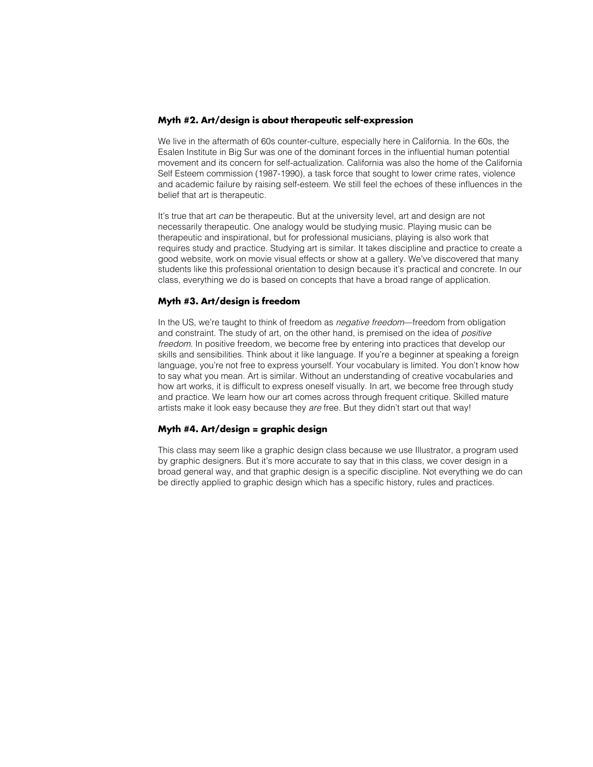#### **Myth #2. Art/design is about therapeutic self-expression**

We live in the aftermath of 60s counter-culture, especially here in California. In the 60s, the Esalen Institute in Big Sur was one of the dominant forces in the influential human potential movement and its concern for self-actualization. California was also the home of the California Self Esteem commission (1987-1990), a task force that sought to lower crime rates, violence and academic failure by raising self-esteem. We still feel the echoes of these influences in the belief that art is therapeutic.

It's true that art *can* be therapeutic. But at the university level, art and design are not necessarily therapeutic. One analogy would be studying music. Playing music can be therapeutic and inspirational, but for professional musicians, playing is also work that requires study and practice. Studying art is similar. It takes discipline and practice to create a good website, work on movie visual effects or show at a gallery. We've discovered that many students like this professional orientation to design because it's practical and concrete. In our class, everything we do is based on concepts that have a broad range of application.

#### **Myth #3. Art/design is freedom**

In the US, we're taught to think of freedom as *negative freedom*—freedom from obligation and constraint. The study of art, on the other hand, is premised on the idea of *positive freedom*. In positive freedom, we become free by entering into practices that develop our skills and sensibilities. Think about it like language. If you're a beginner at speaking a foreign language, you're not free to express yourself. Your vocabulary is limited. You don't know how to say what you mean. Art is similar. Without an understanding of creative vocabularies and how art works, it is difficult to express oneself visually. In art, we become free through study and practice. We learn how our art comes across through frequent critique. Skilled mature artists make it look easy because they *are* free. But they didn't start out that way!

#### **Myth #4. Art/design = graphic design**

This class may seem like a graphic design class because we use Illustrator, a program used by graphic designers. But it's more accurate to say that in this class, we cover design in a broad general way, and that graphic design is a specific discipline. Not everything we do can be directly applied to graphic design which has a specific history, rules and practices.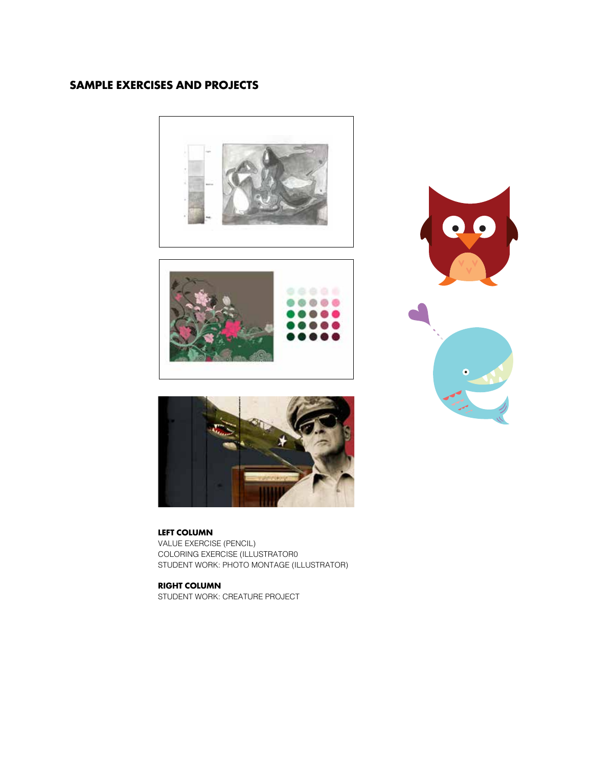# **SAMPLE EXERCISES AND PROJECTS**









# **LEFT COLUMN**

VALUE EXERCISE (PENCIL) COLORING EXERCISE (ILLUSTRATOR0 STUDENT WORK: PHOTO MONTAGE (ILLUSTRATOR)

**RIGHT COLUMN**

STUDENT WORK: CREATURE PROJECT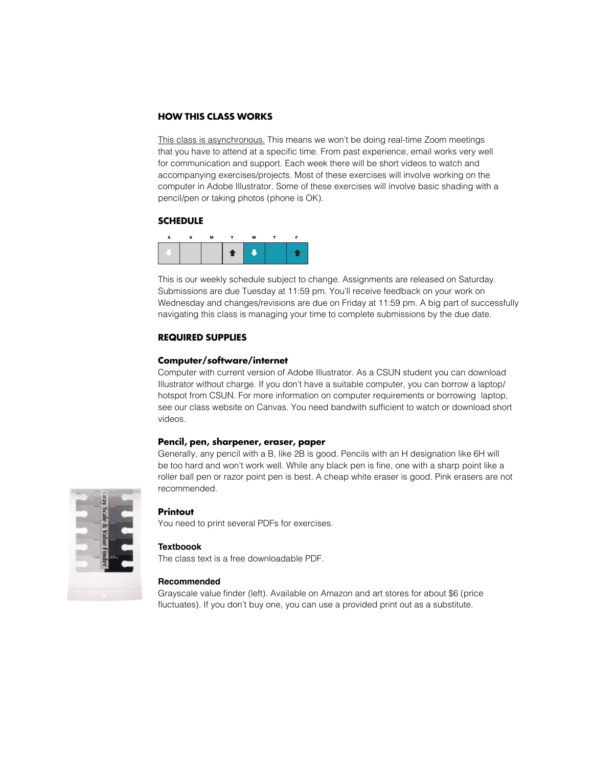# **HOW THIS CLASS WORKS**

This class is asynchronous. This means we won't be doing real-time Zoom meetings that you have to attend at a specific time. From past experience, email works very well for communication and support. Each week there will be short videos to watch and accompanying exercises/projects. Most of these exercises will involve working on the computer in Adobe Illustrator. Some of these exercises will involve basic shading with a pencil/pen or taking photos (phone is OK).

#### **SCHEDULE**



This is our weekly schedule subject to change. Assignments are released on Saturday. Submissions are due Tuesday at 11:59 pm. You'll receive feedback on your work on Wednesday and changes/revisions are due on Friday at 11:59 pm. A big part of successfully navigating this class is managing your time to complete submissions by the due date.

# **REQUIRED SUPPLIES**

#### **Computer/software/internet**

Computer with current version of Adobe Illustrator. As a CSUN student you can download Illustrator without charge. If you don't have a suitable computer, you can borrow a laptop/ hotspot from CSUN. For more information on computer requirements or borrowing laptop, see our class website on Canvas. You need bandwith sufficient to watch or download short videos.

#### **Pencil, pen, sharpener, eraser, paper**

Generally, any pencil with a B, like 2B is good. Pencils with an H designation like 6H will be too hard and won't work well. While any black pen is fine, one with a sharp point like a roller ball pen or razor point pen is best. A cheap white eraser is good. Pink erasers are not recommended.



#### **Printout**

You need to print several PDFs for exercises.

#### **Textboook**

The class text is a free downloadable PDF.

#### **Recommended**

Grayscale value finder (left). Available on Amazon and art stores for about \$6 (price fluctuates). If you don't buy one, you can use a provided print out as a substitute.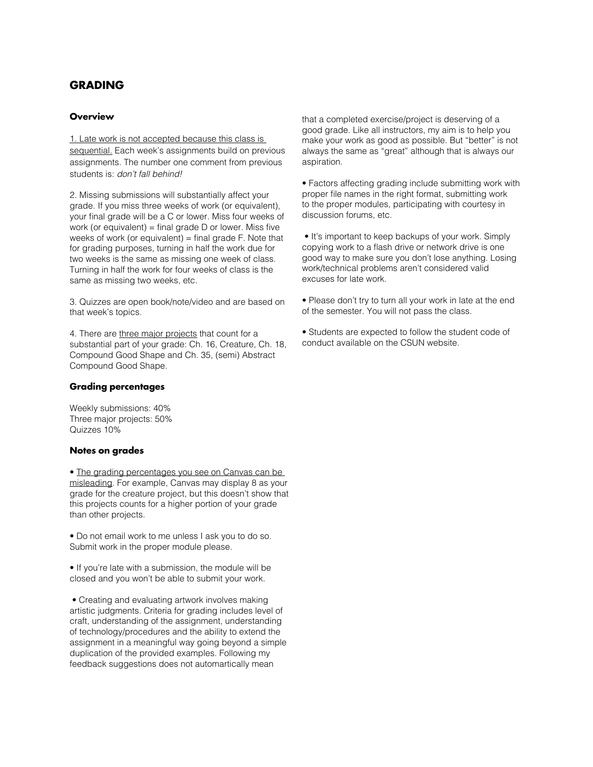# **GRADING**

# **Overview**

1. Late work is not accepted because this class is sequential. Each week's assignments build on previous assignments. The number one comment from previous students is: *don't fall behind!* 

2. Missing submissions will substantially affect your grade. If you miss three weeks of work (or equivalent), your final grade will be a C or lower. Miss four weeks of work (or equivalent) = final grade  $D$  or lower. Miss five weeks of work (or equivalent)  $=$  final grade F. Note that for grading purposes, turning in half the work due for two weeks is the same as missing one week of class. Turning in half the work for four weeks of class is the same as missing two weeks, etc.

3. Quizzes are open book/note/video and are based on that week's topics.

4. There are three major projects that count for a substantial part of your grade: Ch. 16, Creature, Ch. 18, Compound Good Shape and Ch. 35, (semi) Abstract Compound Good Shape.

# **Grading percentages**

Weekly submissions: 40% Three major projects: 50% Quizzes 10%

#### **Notes on grades**

• The grading percentages you see on Canvas can be misleading. For example, Canvas may display 8 as your grade for the creature project, but this doesn't show that this projects counts for a higher portion of your grade than other projects.

• Do not email work to me unless I ask you to do so. Submit work in the proper module please.

• If you're late with a submission, the module will be closed and you won't be able to submit your work.

 • Creating and evaluating artwork involves making artistic judgments. Criteria for grading includes level of craft, understanding of the assignment, understanding of technology/procedures and the ability to extend the assignment in a meaningful way going beyond a simple duplication of the provided examples. Following my feedback suggestions does not automartically mean

that a completed exercise/project is deserving of a good grade. Like all instructors, my aim is to help you make your work as good as possible. But "better" is not always the same as "great" although that is always our aspiration.

• Factors affecting grading include submitting work with proper file names in the right format, submitting work to the proper modules, participating with courtesy in discussion forums, etc.

 • It's important to keep backups of your work. Simply copying work to a flash drive or network drive is one good way to make sure you don't lose anything. Losing work/technical problems aren't considered valid excuses for late work.

• Please don't try to turn all your work in late at the end of the semester. You will not pass the class.

• Students are expected to follow the student code of conduct available on the CSUN website.